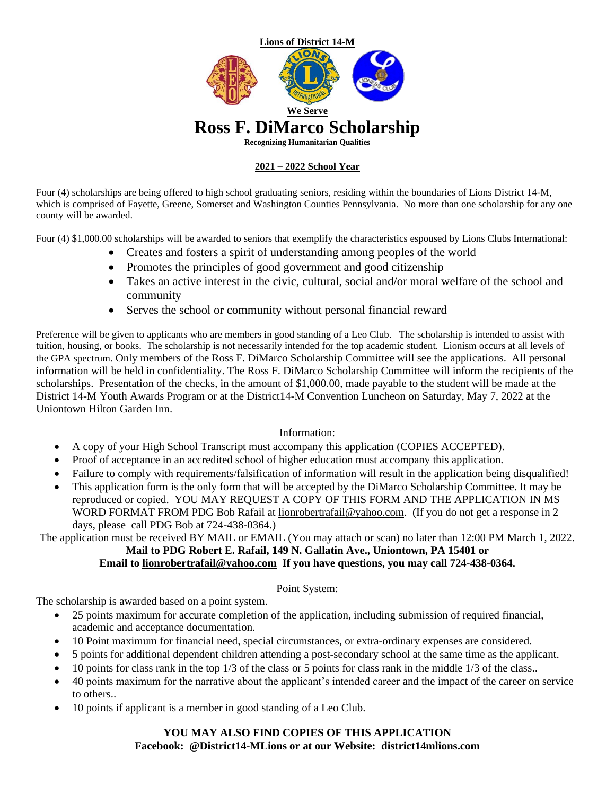

#### **2021 – 2022 School Year**

Four (4) scholarships are being offered to high school graduating seniors, residing within the boundaries of Lions District 14-M, which is comprised of Fayette, Greene, Somerset and Washington Counties Pennsylvania. No more than one scholarship for any one county will be awarded.

Four (4) \$1,000.00 scholarships will be awarded to seniors that exemplify the characteristics espoused by Lions Clubs International:

- Creates and fosters a spirit of understanding among peoples of the world
- Promotes the principles of good government and good citizenship
- Takes an active interest in the civic, cultural, social and/or moral welfare of the school and community
- Serves the school or community without personal financial reward

Preference will be given to applicants who are members in good standing of a Leo Club. The scholarship is intended to assist with tuition, housing, or books. The scholarship is not necessarily intended for the top academic student. Lionism occurs at all levels of the GPA spectrum. Only members of the Ross F. DiMarco Scholarship Committee will see the applications. All personal information will be held in confidentiality. The Ross F. DiMarco Scholarship Committee will inform the recipients of the scholarships. Presentation of the checks, in the amount of \$1,000.00, made payable to the student will be made at the District 14-M Youth Awards Program or at the District14-M Convention Luncheon on Saturday, May 7, 2022 at the Uniontown Hilton Garden Inn.

#### Information:

- A copy of your High School Transcript must accompany this application (COPIES ACCEPTED).
- Proof of acceptance in an accredited school of higher education must accompany this application.
- Failure to comply with requirements/falsification of information will result in the application being disqualified!
- This application form is the only form that will be accepted by the DiMarco Scholarship Committee. It may be reproduced or copied. YOU MAY REQUEST A COPY OF THIS FORM AND THE APPLICATION IN MS WORD FORMAT FROM PDG Bob Rafail at [lionrobertrafail@yahoo.com.](mailto:lionrobertrafail@yahoo.com) (If you do not get a response in 2 days, please call PDG Bob at 724-438-0364.)

The application must be received BY MAIL or EMAIL (You may attach or scan) no later than 12:00 PM March 1, 2022. **Mail to PDG Robert E. Rafail, 149 N. Gallatin Ave., Uniontown, PA 15401 or**

#### **Email to [lionrobertrafail@yahoo.com](mailto:lionrobertrafail@yahoo.com) If you have questions, you may call 724-438-0364.**

#### Point System:

The scholarship is awarded based on a point system.

- 25 points maximum for accurate completion of the application, including submission of required financial, academic and acceptance documentation.
- 10 Point maximum for financial need, special circumstances, or extra-ordinary expenses are considered.
- 5 points for additional dependent children attending a post-secondary school at the same time as the applicant.
- 10 points for class rank in the top 1/3 of the class or 5 points for class rank in the middle 1/3 of the class..
- 40 points maximum for the narrative about the applicant's intended career and the impact of the career on service to others..
- 10 points if applicant is a member in good standing of a Leo Club.

#### **YOU MAY ALSO FIND COPIES OF THIS APPLICATION Facebook: @District14-MLions or at our Website: district14mlions.com**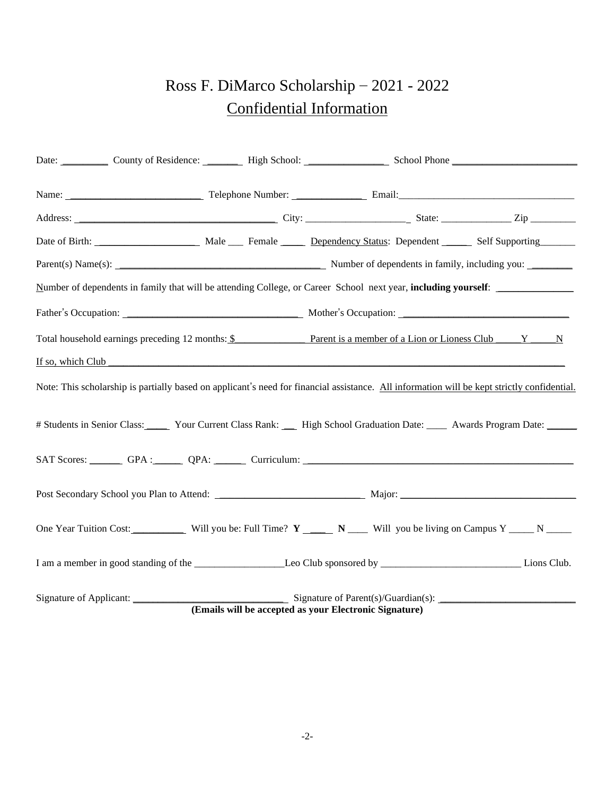## Ross F. DiMarco Scholarship – 2021 - 2022 Confidential Information

|  | Date: County of Residence: High School: School Phone County of Residence: High School: School Phone                                                                                                                            |  |  |                                                        |  |  |  |  |
|--|--------------------------------------------------------------------------------------------------------------------------------------------------------------------------------------------------------------------------------|--|--|--------------------------------------------------------|--|--|--|--|
|  | Name: <u>Name:</u> Telephone Number: <u>Name: Email:</u> Email:                                                                                                                                                                |  |  |                                                        |  |  |  |  |
|  |                                                                                                                                                                                                                                |  |  |                                                        |  |  |  |  |
|  | Date of Birth: ________________________ Male ____ Female _____ Dependency Status: Dependent _____ Self Supporting                                                                                                              |  |  |                                                        |  |  |  |  |
|  | Parent(s) Name(s): Number of dependents in family, including you: Number of dependents in family, including you:                                                                                                               |  |  |                                                        |  |  |  |  |
|  | Number of dependents in family that will be attending College, or Career School next year, including yourself:                                                                                                                 |  |  |                                                        |  |  |  |  |
|  |                                                                                                                                                                                                                                |  |  |                                                        |  |  |  |  |
|  | Total household earnings preceding 12 months: \$ Parent is a member of a Lion or Lioness Club Y N                                                                                                                              |  |  |                                                        |  |  |  |  |
|  | If so, which Club the contract the contract of the contract of the contract of the contract of the contract of the contract of the contract of the contract of the contract of the contract of the contract of the contract of |  |  |                                                        |  |  |  |  |
|  | Note: This scholarship is partially based on applicant's need for financial assistance. All information will be kept strictly confidential.                                                                                    |  |  |                                                        |  |  |  |  |
|  | # Students in Senior Class: Your Current Class Rank: __ High School Graduation Date: ___ Awards Program Date: ____                                                                                                             |  |  |                                                        |  |  |  |  |
|  | SAT Scores: GPA : QPA: QPA: Curriculum: Curriculum: Curriculum: Curriculum: Curriculum: Curriculum: Curriculum: Curriculum: Curriculum: Curriculum: Curriculum: Curriculum: Curriculum: Curriculum: Curriculum: Curriculum: Cu |  |  |                                                        |  |  |  |  |
|  |                                                                                                                                                                                                                                |  |  |                                                        |  |  |  |  |
|  | One Year Tuition Cost: ____________ Will you be: Full Time? Y ______ N _____ Will you be living on Campus Y _____ N _____                                                                                                      |  |  |                                                        |  |  |  |  |
|  |                                                                                                                                                                                                                                |  |  |                                                        |  |  |  |  |
|  |                                                                                                                                                                                                                                |  |  | (Emails will be accepted as your Electronic Signature) |  |  |  |  |